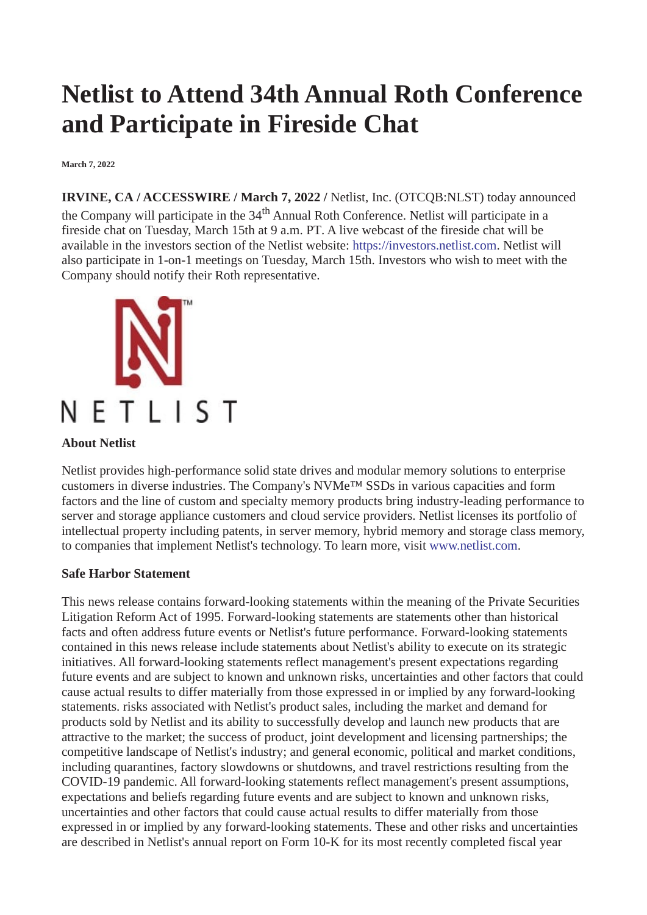## **Netlist to Attend 34th Annual Roth Conference and Participate in Fireside Chat**

**March 7, 2022**

**IRVINE, CA / ACCESSWIRE / March 7, 2022 /** Netlist, Inc. (OTCQB:NLST) today announced the Company will participate in the 34<sup>th</sup> Annual Roth Conference. Netlist will participate in a fireside chat on Tuesday, March 15th at 9 a.m. PT. A live webcast of the fireside chat will be available in the investors section of the Netlist website: [https://investors.netlist.com](https://pr.report/0m4ifXTp). Netlist will also participate in 1-on-1 meetings on Tuesday, March 15th. Investors who wish to meet with the Company should notify their Roth representative.



## **About Netlist**

Netlist provides high-performance solid state drives and modular memory solutions to enterprise customers in diverse industries. The Company's NVMe™ SSDs in various capacities and form factors and the line of custom and specialty memory products bring industry-leading performance to server and storage appliance customers and cloud service providers. Netlist licenses its portfolio of intellectual property including patents, in server memory, hybrid memory and storage class memory, to companies that implement Netlist's technology. To learn more, visit [www.netlist.com](https://pr.report/tavHWBrZ).

## **Safe Harbor Statement**

This news release contains forward-looking statements within the meaning of the Private Securities Litigation Reform Act of 1995. Forward-looking statements are statements other than historical facts and often address future events or Netlist's future performance. Forward-looking statements contained in this news release include statements about Netlist's ability to execute on its strategic initiatives. All forward-looking statements reflect management's present expectations regarding future events and are subject to known and unknown risks, uncertainties and other factors that could cause actual results to differ materially from those expressed in or implied by any forward-looking statements. risks associated with Netlist's product sales, including the market and demand for products sold by Netlist and its ability to successfully develop and launch new products that are attractive to the market; the success of product, joint development and licensing partnerships; the competitive landscape of Netlist's industry; and general economic, political and market conditions, including quarantines, factory slowdowns or shutdowns, and travel restrictions resulting from the COVID-19 pandemic. All forward-looking statements reflect management's present assumptions, expectations and beliefs regarding future events and are subject to known and unknown risks, uncertainties and other factors that could cause actual results to differ materially from those expressed in or implied by any forward-looking statements. These and other risks and uncertainties are described in Netlist's annual report on Form 10-K for its most recently completed fiscal year